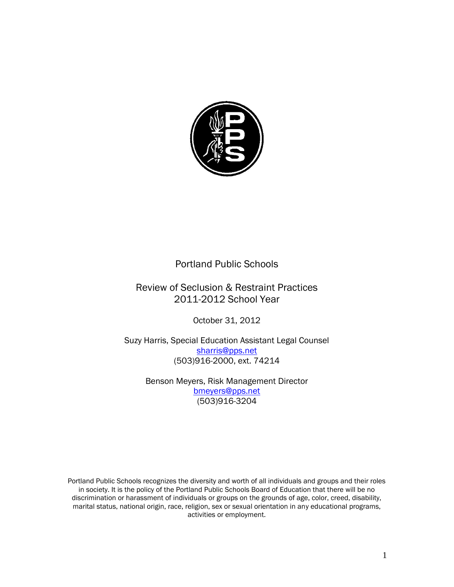

### Portland Public Schools

## Review of Seclusion & Restraint Practices 2011-2012 School Year

October 31, 2012

Suzy Harris, Special Education Assistant Legal Counsel [sharris@pps.net](mailto:sharris@pps.net) (503)916-2000, ext. 74214

> Benson Meyers, Risk Management Director [bmeyers@pps.net](mailto:bmeyers@pps.net) (503)916-3204

Portland Public Schools recognizes the diversity and worth of all individuals and groups and their roles in society. It is the policy of the Portland Public Schools Board of Education that there will be no discrimination or harassment of individuals or groups on the grounds of age, color, creed, disability, marital status, national origin, race, religion, sex or sexual orientation in any educational programs, activities or employment.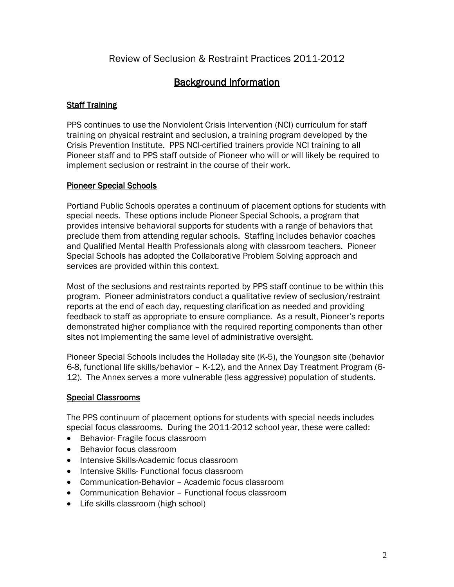Review of Seclusion & Restraint Practices 2011-2012

# Background Information

#### Staff Training

PPS continues to use the Nonviolent Crisis Intervention (NCI) curriculum for staff training on physical restraint and seclusion, a training program developed by the Crisis Prevention Institute. PPS NCI-certified trainers provide NCI training to all Pioneer staff and to PPS staff outside of Pioneer who will or will likely be required to implement seclusion or restraint in the course of their work.

#### Pioneer Special Schools

Portland Public Schools operates a continuum of placement options for students with special needs. These options include Pioneer Special Schools, a program that provides intensive behavioral supports for students with a range of behaviors that preclude them from attending regular schools. Staffing includes behavior coaches and Qualified Mental Health Professionals along with classroom teachers. Pioneer Special Schools has adopted the Collaborative Problem Solving approach and services are provided within this context.

Most of the seclusions and restraints reported by PPS staff continue to be within this program. Pioneer administrators conduct a qualitative review of seclusion/restraint reports at the end of each day, requesting clarification as needed and providing feedback to staff as appropriate to ensure compliance. As a result, Pioneer's reports demonstrated higher compliance with the required reporting components than other sites not implementing the same level of administrative oversight.

Pioneer Special Schools includes the Holladay site (K-5), the Youngson site (behavior 6-8, functional life skills/behavior – K-12), and the Annex Day Treatment Program (6- 12). The Annex serves a more vulnerable (less aggressive) population of students.

#### Special Classrooms

The PPS continuum of placement options for students with special needs includes special focus classrooms. During the 2011-2012 school year, these were called:

- Behavior- Fragile focus classroom
- Behavior focus classroom
- Intensive Skills-Academic focus classroom
- Intensive Skills- Functional focus classroom
- Communication-Behavior Academic focus classroom
- Communication Behavior Functional focus classroom
- Life skills classroom (high school)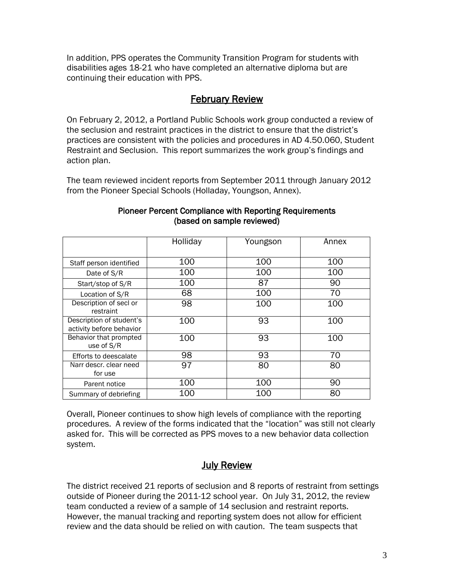In addition, PPS operates the Community Transition Program for students with disabilities ages 18-21 who have completed an alternative diploma but are continuing their education with PPS.

### February Review

On February 2, 2012, a Portland Public Schools work group conducted a review of the seclusion and restraint practices in the district to ensure that the district's practices are consistent with the policies and procedures in AD 4.50.060, Student Restraint and Seclusion. This report summarizes the work group's findings and action plan.

The team reviewed incident reports from September 2011 through January 2012 from the Pioneer Special Schools (Holladay, Youngson, Annex).

| 100<br>100<br>100<br>Staff person identified<br>100<br>100<br>100<br>Date of S/R<br>87<br>100<br>90<br>Start/stop of S/R<br>70<br>100<br>68<br>Location of S/R<br>Description of secl or<br>98<br>100<br>100<br>restraint<br>Description of student's<br>93<br>100<br>100<br>activity before behavior<br>93<br>Behavior that prompted<br>100<br>100<br>use of S/R<br>70<br>98<br>93<br>Efforts to deescalate<br>97<br>Narr descr. clear need<br>80<br>80<br>for use | Holliday | Youngson | Annex |
|---------------------------------------------------------------------------------------------------------------------------------------------------------------------------------------------------------------------------------------------------------------------------------------------------------------------------------------------------------------------------------------------------------------------------------------------------------------------|----------|----------|-------|
|                                                                                                                                                                                                                                                                                                                                                                                                                                                                     |          |          |       |
|                                                                                                                                                                                                                                                                                                                                                                                                                                                                     |          |          |       |
|                                                                                                                                                                                                                                                                                                                                                                                                                                                                     |          |          |       |
|                                                                                                                                                                                                                                                                                                                                                                                                                                                                     |          |          |       |
|                                                                                                                                                                                                                                                                                                                                                                                                                                                                     |          |          |       |
|                                                                                                                                                                                                                                                                                                                                                                                                                                                                     |          |          |       |
|                                                                                                                                                                                                                                                                                                                                                                                                                                                                     |          |          |       |
|                                                                                                                                                                                                                                                                                                                                                                                                                                                                     |          |          |       |
|                                                                                                                                                                                                                                                                                                                                                                                                                                                                     |          |          |       |
| 100<br>100<br>90<br>Parent notice                                                                                                                                                                                                                                                                                                                                                                                                                                   |          |          |       |
| 80<br>100<br>100<br>Summary of debriefing                                                                                                                                                                                                                                                                                                                                                                                                                           |          |          |       |

#### Pioneer Percent Compliance with Reporting Requirements (based on sample reviewed)

Overall, Pioneer continues to show high levels of compliance with the reporting procedures. A review of the forms indicated that the "location" was still not clearly asked for. This will be corrected as PPS moves to a new behavior data collection system.

## **July Review**

The district received 21 reports of seclusion and 8 reports of restraint from settings outside of Pioneer during the 2011-12 school year. On July 31, 2012, the review team conducted a review of a sample of 14 seclusion and restraint reports. However, the manual tracking and reporting system does not allow for efficient review and the data should be relied on with caution. The team suspects that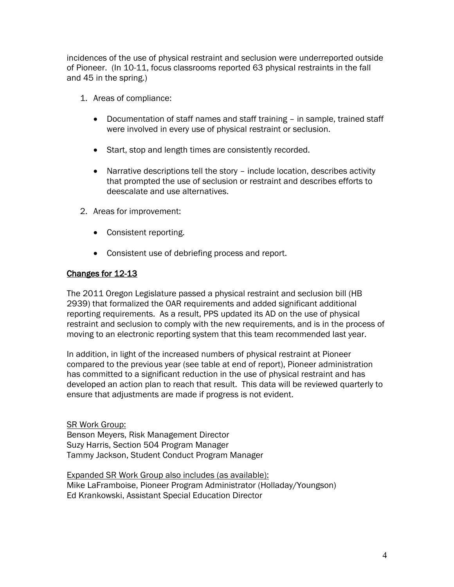incidences of the use of physical restraint and seclusion were underreported outside of Pioneer. (In 10-11, focus classrooms reported 63 physical restraints in the fall and 45 in the spring.)

- 1. Areas of compliance:
	- Documentation of staff names and staff training in sample, trained staff were involved in every use of physical restraint or seclusion.
	- Start, stop and length times are consistently recorded.
	- Narrative descriptions tell the story include location, describes activity that prompted the use of seclusion or restraint and describes efforts to deescalate and use alternatives.
- 2. Areas for improvement:
	- Consistent reporting.
	- Consistent use of debriefing process and report.

#### Changes for 12-13

The 2011 Oregon Legislature passed a physical restraint and seclusion bill (HB 2939) that formalized the OAR requirements and added significant additional reporting requirements. As a result, PPS updated its AD on the use of physical restraint and seclusion to comply with the new requirements, and is in the process of moving to an electronic reporting system that this team recommended last year.

In addition, in light of the increased numbers of physical restraint at Pioneer compared to the previous year (see table at end of report), Pioneer administration has committed to a significant reduction in the use of physical restraint and has developed an action plan to reach that result. This data will be reviewed quarterly to ensure that adjustments are made if progress is not evident.

SR Work Group: Benson Meyers, Risk Management Director Suzy Harris, Section 504 Program Manager Tammy Jackson, Student Conduct Program Manager

Expanded SR Work Group also includes (as available): Mike LaFramboise, Pioneer Program Administrator (Holladay/Youngson) Ed Krankowski, Assistant Special Education Director